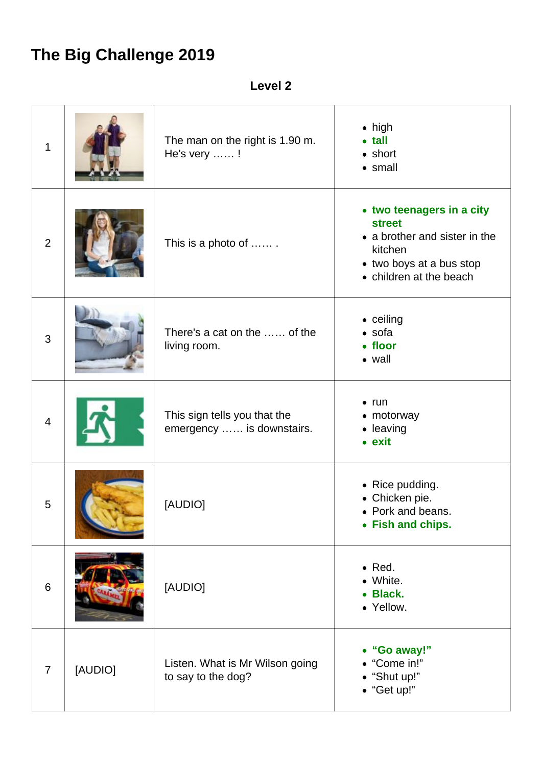## **The Big Challenge 2019**

**Level 2**

| 1              |         | The man on the right is 1.90 m.<br>He's very !            | $\bullet$ high<br>$\bullet$ tall<br>$\bullet$ short<br>$\bullet$ small                                                                        |
|----------------|---------|-----------------------------------------------------------|-----------------------------------------------------------------------------------------------------------------------------------------------|
| $\overline{2}$ |         | This is a photo of                                        | • two teenagers in a city<br><b>street</b><br>• a brother and sister in the<br>kitchen<br>• two boys at a bus stop<br>• children at the beach |
| 3              |         | There's a cat on the  of the<br>living room.              | • ceiling<br>$\bullet$ sofa<br>• floor<br>• wall                                                                                              |
| $\overline{4}$ |         | This sign tells you that the<br>emergency  is downstairs. | $\bullet$ run<br>• motorway<br>• leaving<br>$\bullet$ exit                                                                                    |
| 5              |         | [AUDIO]                                                   | • Rice pudding.<br>• Chicken pie.<br>• Pork and beans.<br>• Fish and chips.                                                                   |
| 6              |         | [AUDIO]                                                   | $\bullet$ Red.<br>• White.<br>• Black.<br>• Yellow.                                                                                           |
| $\overline{7}$ | [AUDIO] | Listen. What is Mr Wilson going<br>to say to the dog?     | • "Go away!"<br>"Come in!"<br>"Shut up!"<br>• "Get up!"                                                                                       |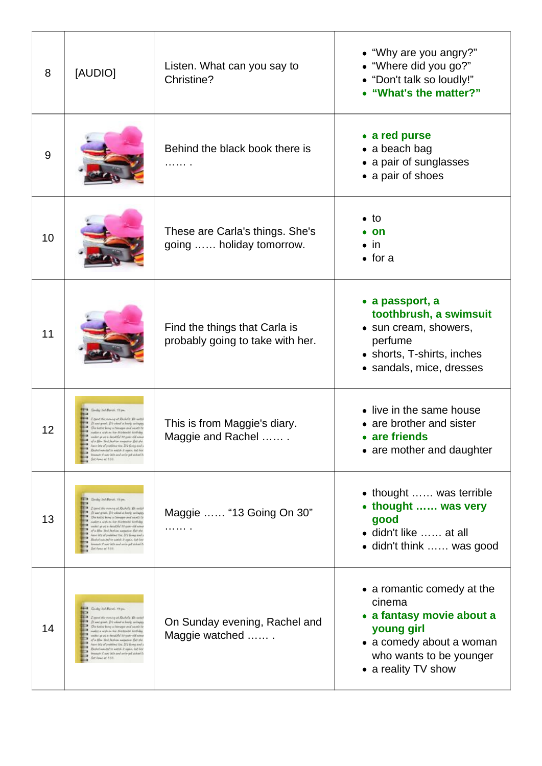| 8  | [AUDIO]                                                                                                                                                                                                                                                                                                                                                                                                                                                                         | Listen. What can you say to<br>Christine?                         | • "Why are you angry?"<br>• "Where did you go?"<br>• "Don't talk so loudly!"<br>• "What's the matter?"                                                        |
|----|---------------------------------------------------------------------------------------------------------------------------------------------------------------------------------------------------------------------------------------------------------------------------------------------------------------------------------------------------------------------------------------------------------------------------------------------------------------------------------|-------------------------------------------------------------------|---------------------------------------------------------------------------------------------------------------------------------------------------------------|
| 9  |                                                                                                                                                                                                                                                                                                                                                                                                                                                                                 | Behind the black book there is                                    | • a red purse<br>• a beach bag<br>• a pair of sunglasses<br>• a pair of shoes                                                                                 |
| 10 |                                                                                                                                                                                                                                                                                                                                                                                                                                                                                 | These are Carla's things. She's<br>going  holiday tomorrow.       | $\bullet$ to<br>$\bullet$ on<br>$\bullet$ in<br>$\bullet$ for a                                                                                               |
| 11 |                                                                                                                                                                                                                                                                                                                                                                                                                                                                                 | Find the things that Carla is<br>probably going to take with her. | • a passport, a<br>toothbrush, a swimsuit<br>• sun cream, showers,<br>perfume<br>• shorts, T-shirts, inches<br>• sandals, mice, dresses                       |
| 12 | L'e Mo<br>have lets of problems too. It's formy and a<br>Restat weight to watch it wants, dut has<br>∍<br>brought it was left and axist jot cuban'ts<br>Set Avec et P.30.                                                                                                                                                                                                                                                                                                       | This is from Maggie's diary.<br>Maggie and Rachel                 | • live in the same house<br>• are brother and sister<br>• are friends<br>• are mother and daughter                                                            |
| 13 | <b>THE Goday Ind March, 19 pm</b><br>Tour discussion of Builds Breeton<br>If said great. It's alsoft a lovely unhappy<br>÷<br>De fatht leng a trevere and world to<br>maker a wish on the Michandi division<br>weekst up as a freestated Mirgone will notice<br>of a film lied Seption associate flat the<br>have lette of problems two. 201 fixing and a<br>.,<br>Replatemental to width it again, dat lost<br>masser it sees left and arive get cuban'ts<br>Set Avec et P.33. | Maggie  "13 Going On 30"<br>.                                     | • thought  was terrible<br>• thought  was very<br>good<br>· didn't like  at all<br>• didn't think  was good                                                   |
| 14 | <b>THE Sinday Ind March, 17 pm</b><br>一<br>Touch competition to war<br>If we good. It's about a book unbayes<br>De fatht ling a treage and usefa to<br>sailer a with no line Michaeldi divalulay<br>welet up as a benefited by your citizens<br>of a film link factors assured for the<br>have lets of problems two. It's family and a<br>Replatemental to width it again, dat has<br>boaste it werdstrand eringet reharb<br>Set Avec et P.30.                                  | On Sunday evening, Rachel and<br>Maggie watched                   | • a romantic comedy at the<br>cinema<br>• a fantasy movie about a<br>young girl<br>• a comedy about a woman<br>who wants to be younger<br>• a reality TV show |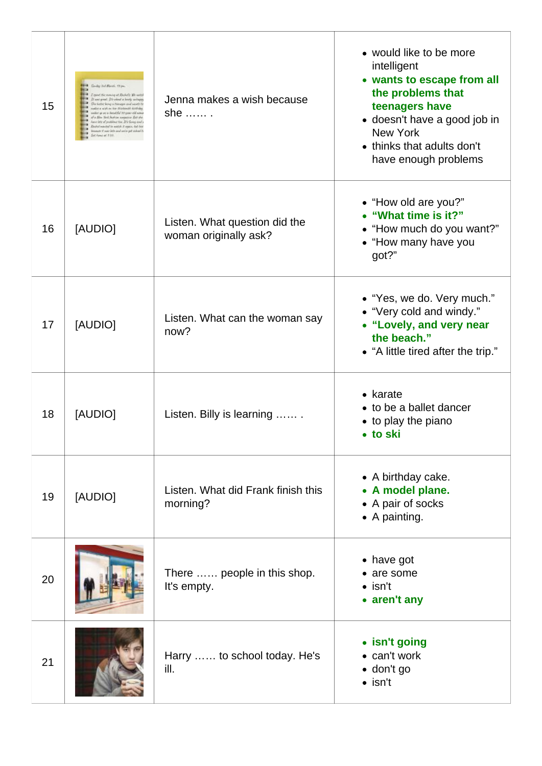| 15 | Geolog Ind March, 19 pm<br>Cover the every at Rubels: We with<br>If was aveal. It's about a lensis unhance<br>De fatht feing a though and wants to<br>by a wish so the Michaeldi doblid<br>for as as a bookful bit-year-eld wins<br>a film lied feeling assures for the<br>or lets of problems too. It's family and i<br>Sunhat www.bod be wadsh 2 manns, that has<br>andy if you left and arise get calcul t<br>of Jone of P.S.L. | Jenna makes a wish because<br>she  .                   | • would like to be more<br>intelligent<br>• wants to escape from all<br>the problems that<br>teenagers have<br>• doesn't have a good job in<br><b>New York</b><br>• thinks that adults don't<br>have enough problems |
|----|------------------------------------------------------------------------------------------------------------------------------------------------------------------------------------------------------------------------------------------------------------------------------------------------------------------------------------------------------------------------------------------------------------------------------------|--------------------------------------------------------|----------------------------------------------------------------------------------------------------------------------------------------------------------------------------------------------------------------------|
| 16 | [AUDIO]                                                                                                                                                                                                                                                                                                                                                                                                                            | Listen. What question did the<br>woman originally ask? | • "How old are you?"<br>• "What time is it?"<br>• "How much do you want?"<br>• "How many have you<br>got?"                                                                                                           |
| 17 | [AUDIO]                                                                                                                                                                                                                                                                                                                                                                                                                            | Listen. What can the woman say<br>now?                 | • "Yes, we do. Very much."<br>• "Very cold and windy."<br>• "Lovely, and very near<br>the beach."<br>• "A little tired after the trip."                                                                              |
| 18 | [AUDIO]                                                                                                                                                                                                                                                                                                                                                                                                                            | Listen. Billy is learning                              | $\bullet$ karate<br>• to be a ballet dancer<br>• to play the piano<br>• to ski                                                                                                                                       |
| 19 | [AUDIO]                                                                                                                                                                                                                                                                                                                                                                                                                            | Listen. What did Frank finish this<br>morning?         | • A birthday cake.<br>• A model plane.<br>• A pair of socks<br>• A painting.                                                                                                                                         |
| 20 |                                                                                                                                                                                                                                                                                                                                                                                                                                    | There  people in this shop.<br>It's empty.             | • have got<br>• are some<br>$\bullet$ isn't<br>• aren't any                                                                                                                                                          |
| 21 |                                                                                                                                                                                                                                                                                                                                                                                                                                    | Harry  to school today. He's<br>ill.                   | • isn't going<br>• can't work<br>· don't go<br>$\bullet$ isn't                                                                                                                                                       |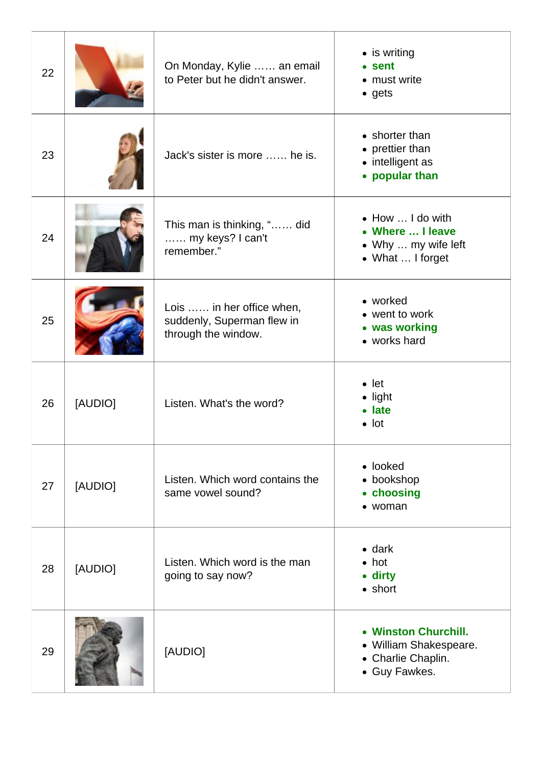| 22 |         | On Monday, Kylie  an email<br>to Peter but he didn't answer.                   | • is writing<br>• sent<br>• must write<br>$\bullet$ gets                              |
|----|---------|--------------------------------------------------------------------------------|---------------------------------------------------------------------------------------|
| 23 |         | Jack's sister is more  he is.                                                  | • shorter than<br>• prettier than<br>• intelligent as<br>• popular than               |
| 24 |         | This man is thinking, " did<br>my keys? I can't<br>remember."                  | • How  I do with<br>• Where  I leave<br>• Why  my wife left<br>• What  I forget       |
| 25 |         | Lois  in her office when,<br>suddenly, Superman flew in<br>through the window. | • worked<br>• went to work<br>• was working<br>• works hard                           |
| 26 | [AUDIO] | Listen. What's the word?                                                       | $\bullet$ let<br>$\bullet$ light<br>• late<br>$\bullet$ lot                           |
| 27 | [AUDIO] | Listen. Which word contains the<br>same vowel sound?                           | • looked<br>• bookshop<br>• choosing<br>• woman                                       |
| 28 | [AUDIO] | Listen. Which word is the man<br>going to say now?                             | $\bullet$ dark<br>$\bullet$ hot<br>• dirty<br>• short                                 |
| 29 |         | [AUDIO]                                                                        | • Winston Churchill.<br>• William Shakespeare.<br>• Charlie Chaplin.<br>• Guy Fawkes. |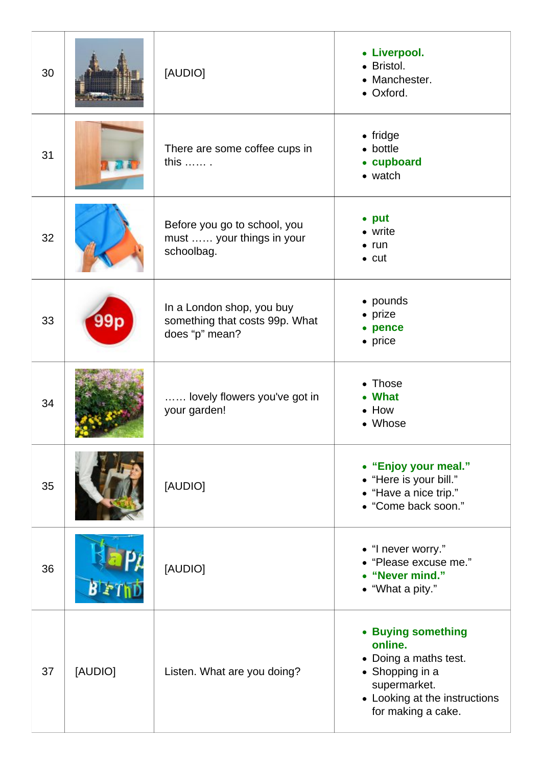| 30 |         | [AUDIO]                                                                       | • Liverpool.<br>• Bristol.<br>• Manchester.<br>• Oxford.                                                                                         |
|----|---------|-------------------------------------------------------------------------------|--------------------------------------------------------------------------------------------------------------------------------------------------|
| 31 |         | There are some coffee cups in<br>this $\ldots$                                | $\bullet$ fridge<br>• bottle<br>• cupboard<br>• watch                                                                                            |
| 32 |         | Before you go to school, you<br>must  your things in your<br>schoolbag.       | • put<br>• write<br>$\bullet$ run<br>$\bullet$ cut                                                                                               |
| 33 |         | In a London shop, you buy<br>something that costs 99p. What<br>does "p" mean? | • pounds<br>• prize<br>• pence<br>• price                                                                                                        |
| 34 |         | lovely flowers you've got in<br>your garden!                                  | • Those<br><b>What</b><br>$\bullet$ How<br>• Whose                                                                                               |
| 35 |         | [AUDIO]                                                                       | • "Enjoy your meal."<br>• "Here is your bill."<br>• "Have a nice trip."<br>• "Come back soon."                                                   |
| 36 |         | [AUDIO]                                                                       | • "I never worry."<br>• "Please excuse me."<br>• "Never mind."<br>• "What a pity."                                                               |
| 37 | [AUDIO] | Listen. What are you doing?                                                   | • Buying something<br>online.<br>• Doing a maths test.<br>• Shopping in a<br>supermarket.<br>• Looking at the instructions<br>for making a cake. |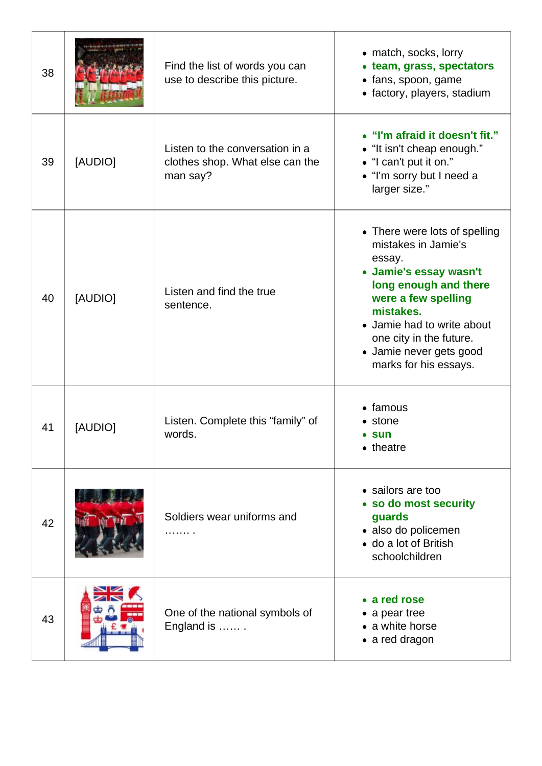| 38 |         | Find the list of words you can<br>use to describe this picture.                | • match, socks, lorry<br>• team, grass, spectators<br>• fans, spoon, game<br>• factory, players, stadium                                                                                                                                                           |
|----|---------|--------------------------------------------------------------------------------|--------------------------------------------------------------------------------------------------------------------------------------------------------------------------------------------------------------------------------------------------------------------|
| 39 | [AUDIO] | Listen to the conversation in a<br>clothes shop. What else can the<br>man say? | • "I'm afraid it doesn't fit."<br>• "It isn't cheap enough."<br>• "I can't put it on."<br>• "I'm sorry but I need a<br>larger size."                                                                                                                               |
| 40 | [AUDIO] | Listen and find the true<br>sentence.                                          | • There were lots of spelling<br>mistakes in Jamie's<br>essay.<br>• Jamie's essay wasn't<br>long enough and there<br>were a few spelling<br>mistakes.<br>• Jamie had to write about<br>one city in the future.<br>· Jamie never gets good<br>marks for his essays. |
| 41 | [AUDIO] | Listen. Complete this "family" of<br>words.                                    | • famous<br>stone<br><b>sun</b><br>• theatre                                                                                                                                                                                                                       |
| 42 |         | Soldiers wear uniforms and<br>.                                                | • sailors are too<br>• so do most security<br>guards<br>· also do policemen<br>• do a lot of British<br>schoolchildren                                                                                                                                             |
| 43 |         | One of the national symbols of<br>England is                                   | • a red rose<br>$\bullet$ a pear tree<br>• a white horse<br>• a red dragon                                                                                                                                                                                         |